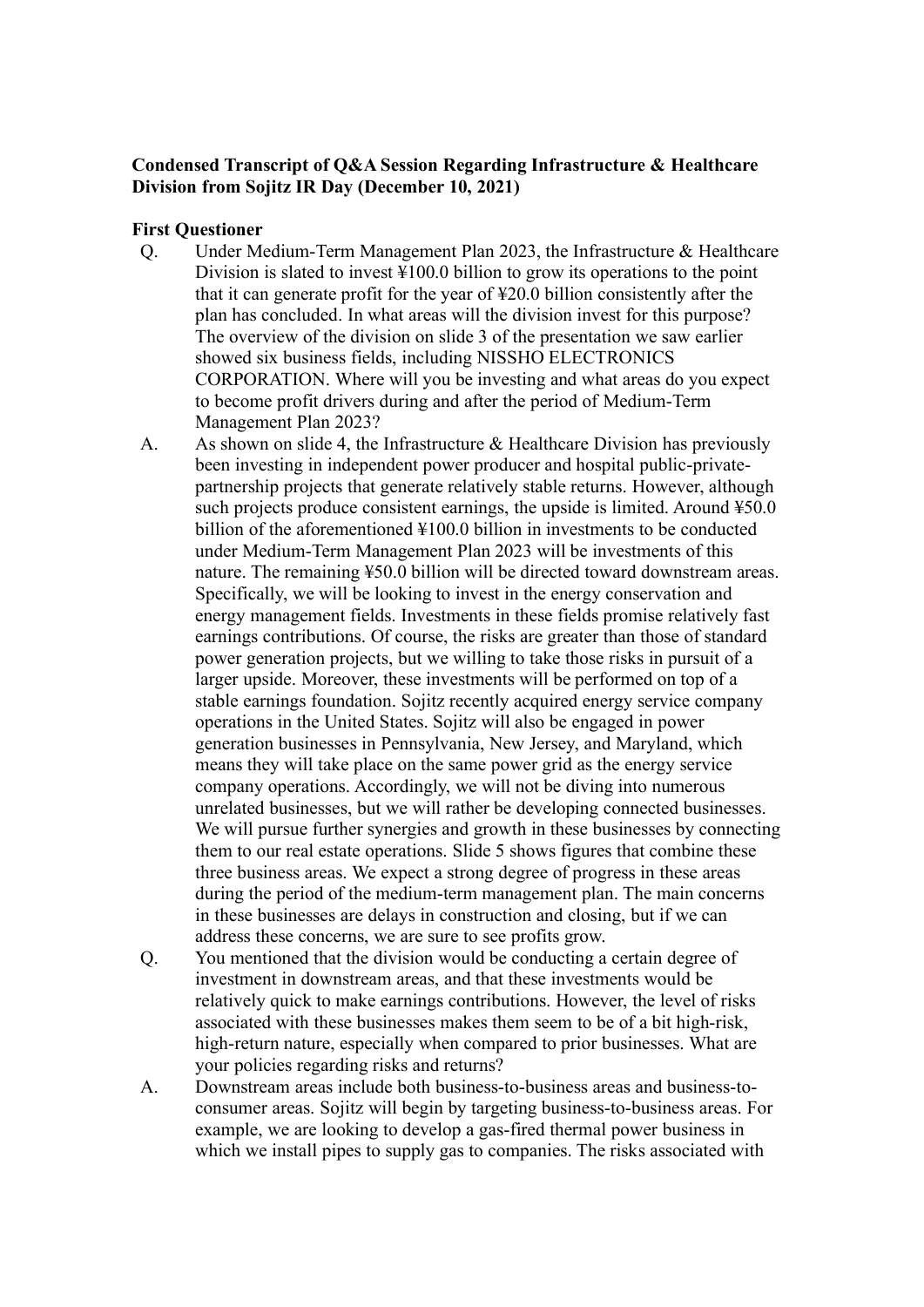## **Condensed Transcript of Q&A Session Regarding Infrastructure & Healthcare Division from Sojitz IR Day (December 10, 2021)**

## **First Questioner**

- Q. Under Medium-Term Management Plan 2023, the Infrastructure & Healthcare Division is slated to invest ¥100.0 billion to grow its operations to the point that it can generate profit for the year of ¥20.0 billion consistently after the plan has concluded. In what areas will the division invest for this purpose? The overview of the division on slide 3 of the presentation we saw earlier showed six business fields, including NISSHO ELECTRONICS CORPORATION. Where will you be investing and what areas do you expect to become profit drivers during and after the period of Medium-Term Management Plan 2023?
- A. As shown on slide 4, the Infrastructure & Healthcare Division has previously been investing in independent power producer and hospital public-privatepartnership projects that generate relatively stable returns. However, although such projects produce consistent earnings, the upside is limited. Around ¥50.0 billion of the aforementioned ¥100.0 billion in investments to be conducted under Medium-Term Management Plan 2023 will be investments of this nature. The remaining ¥50.0 billion will be directed toward downstream areas. Specifically, we will be looking to invest in the energy conservation and energy management fields. Investments in these fields promise relatively fast earnings contributions. Of course, the risks are greater than those of standard power generation projects, but we willing to take those risks in pursuit of a larger upside. Moreover, these investments will be performed on top of a stable earnings foundation. Sojitz recently acquired energy service company operations in the United States. Sojitz will also be engaged in power generation businesses in Pennsylvania, New Jersey, and Maryland, which means they will take place on the same power grid as the energy service company operations. Accordingly, we will not be diving into numerous unrelated businesses, but we will rather be developing connected businesses. We will pursue further synergies and growth in these businesses by connecting them to our real estate operations. Slide 5 shows figures that combine these three business areas. We expect a strong degree of progress in these areas during the period of the medium-term management plan. The main concerns in these businesses are delays in construction and closing, but if we can address these concerns, we are sure to see profits grow.
- Q. You mentioned that the division would be conducting a certain degree of investment in downstream areas, and that these investments would be relatively quick to make earnings contributions. However, the level of risks associated with these businesses makes them seem to be of a bit high-risk, high-return nature, especially when compared to prior businesses. What are your policies regarding risks and returns?
- A. Downstream areas include both business-to-business areas and business-toconsumer areas. Sojitz will begin by targeting business-to-business areas. For example, we are looking to develop a gas-fired thermal power business in which we install pipes to supply gas to companies. The risks associated with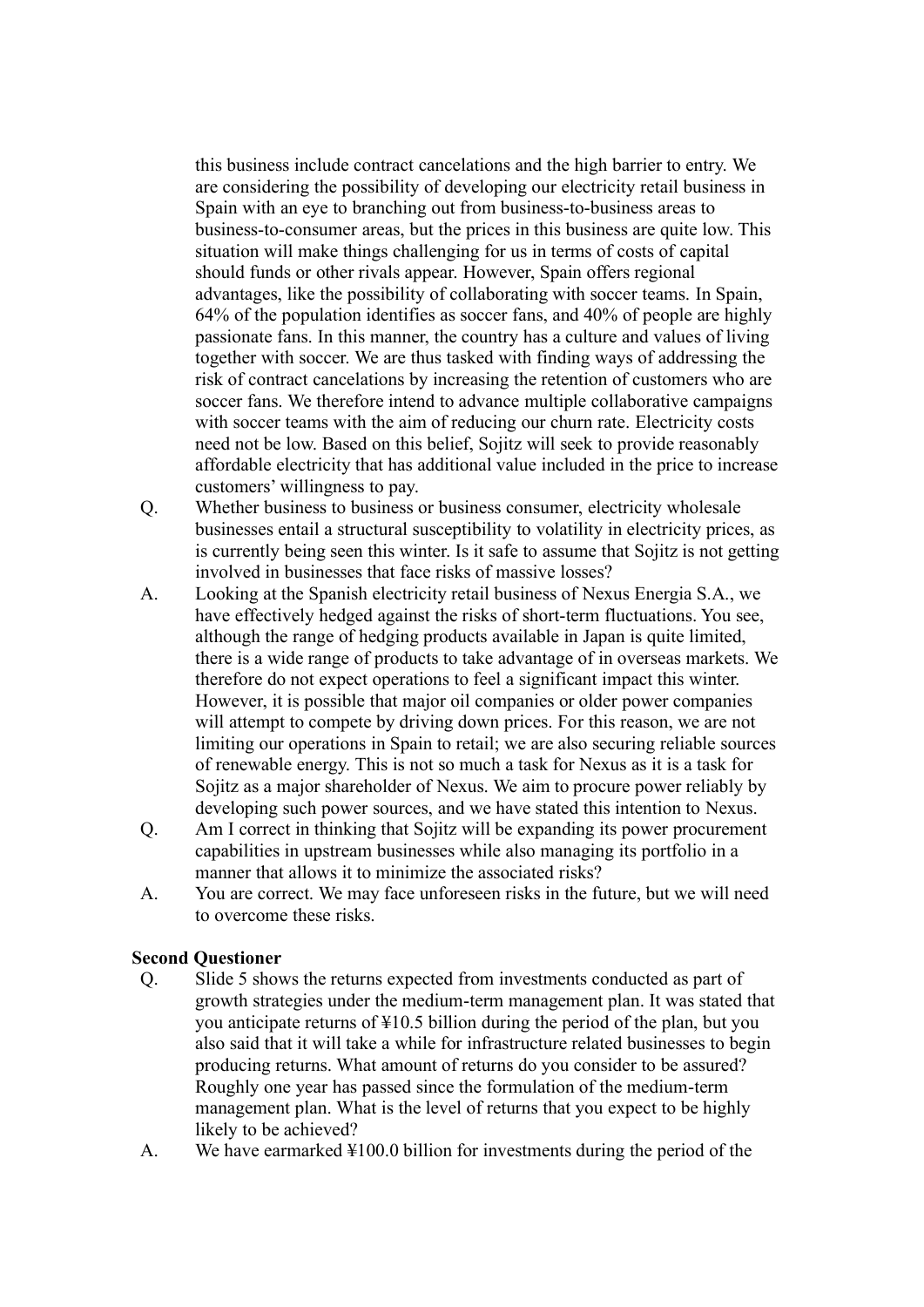this business include contract cancelations and the high barrier to entry. We are considering the possibility of developing our electricity retail business in Spain with an eye to branching out from business-to-business areas to business-to-consumer areas, but the prices in this business are quite low. This situation will make things challenging for us in terms of costs of capital should funds or other rivals appear. However, Spain offers regional advantages, like the possibility of collaborating with soccer teams. In Spain, 64% of the population identifies as soccer fans, and 40% of people are highly passionate fans. In this manner, the country has a culture and values of living together with soccer. We are thus tasked with finding ways of addressing the risk of contract cancelations by increasing the retention of customers who are soccer fans. We therefore intend to advance multiple collaborative campaigns with soccer teams with the aim of reducing our churn rate. Electricity costs need not be low. Based on this belief, Sojitz will seek to provide reasonably affordable electricity that has additional value included in the price to increase customers' willingness to pay.

- Q. Whether business to business or business consumer, electricity wholesale businesses entail a structural susceptibility to volatility in electricity prices, as is currently being seen this winter. Is it safe to assume that Sojitz is not getting involved in businesses that face risks of massive losses?
- A. Looking at the Spanish electricity retail business of Nexus Energia S.A., we have effectively hedged against the risks of short-term fluctuations. You see, although the range of hedging products available in Japan is quite limited, there is a wide range of products to take advantage of in overseas markets. We therefore do not expect operations to feel a significant impact this winter. However, it is possible that major oil companies or older power companies will attempt to compete by driving down prices. For this reason, we are not limiting our operations in Spain to retail; we are also securing reliable sources of renewable energy. This is not so much a task for Nexus as it is a task for Sojitz as a major shareholder of Nexus. We aim to procure power reliably by developing such power sources, and we have stated this intention to Nexus.
- Q. Am I correct in thinking that Sojitz will be expanding its power procurement capabilities in upstream businesses while also managing its portfolio in a manner that allows it to minimize the associated risks?
- A. You are correct. We may face unforeseen risks in the future, but we will need to overcome these risks.

## **Second Questioner**

- Q. Slide 5 shows the returns expected from investments conducted as part of growth strategies under the medium-term management plan. It was stated that you anticipate returns of ¥10.5 billion during the period of the plan, but you also said that it will take a while for infrastructure related businesses to begin producing returns. What amount of returns do you consider to be assured? Roughly one year has passed since the formulation of the medium-term management plan. What is the level of returns that you expect to be highly likely to be achieved?
- A. We have earmarked ¥100.0 billion for investments during the period of the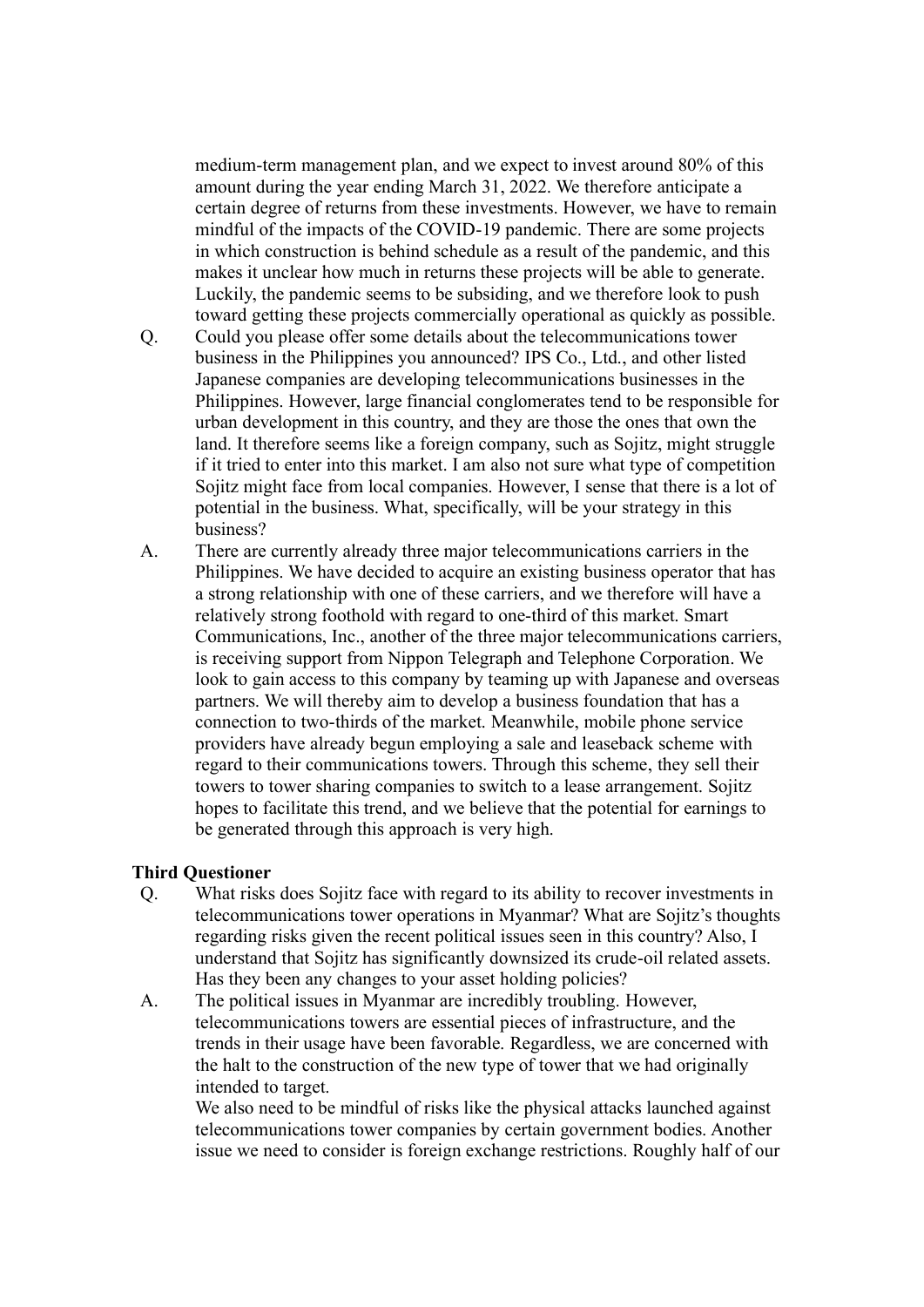medium-term management plan, and we expect to invest around 80% of this amount during the year ending March 31, 2022. We therefore anticipate a certain degree of returns from these investments. However, we have to remain mindful of the impacts of the COVID-19 pandemic. There are some projects in which construction is behind schedule as a result of the pandemic, and this makes it unclear how much in returns these projects will be able to generate. Luckily, the pandemic seems to be subsiding, and we therefore look to push toward getting these projects commercially operational as quickly as possible.

- Q. Could you please offer some details about the telecommunications tower business in the Philippines you announced? IPS Co., Ltd., and other listed Japanese companies are developing telecommunications businesses in the Philippines. However, large financial conglomerates tend to be responsible for urban development in this country, and they are those the ones that own the land. It therefore seems like a foreign company, such as Sojitz, might struggle if it tried to enter into this market. I am also not sure what type of competition Sojitz might face from local companies. However, I sense that there is a lot of potential in the business. What, specifically, will be your strategy in this business?
- A. There are currently already three major telecommunications carriers in the Philippines. We have decided to acquire an existing business operator that has a strong relationship with one of these carriers, and we therefore will have a relatively strong foothold with regard to one-third of this market. Smart Communications, Inc., another of the three major telecommunications carriers, is receiving support from Nippon Telegraph and Telephone Corporation. We look to gain access to this company by teaming up with Japanese and overseas partners. We will thereby aim to develop a business foundation that has a connection to two-thirds of the market. Meanwhile, mobile phone service providers have already begun employing a sale and leaseback scheme with regard to their communications towers. Through this scheme, they sell their towers to tower sharing companies to switch to a lease arrangement. Sojitz hopes to facilitate this trend, and we believe that the potential for earnings to be generated through this approach is very high.

## **Third Questioner**

- Q. What risks does Sojitz face with regard to its ability to recover investments in telecommunications tower operations in Myanmar? What are Sojitz's thoughts regarding risks given the recent political issues seen in this country? Also, I understand that Sojitz has significantly downsized its crude-oil related assets. Has they been any changes to your asset holding policies?
- A. The political issues in Myanmar are incredibly troubling. However, telecommunications towers are essential pieces of infrastructure, and the trends in their usage have been favorable. Regardless, we are concerned with the halt to the construction of the new type of tower that we had originally intended to target.

We also need to be mindful of risks like the physical attacks launched against telecommunications tower companies by certain government bodies. Another issue we need to consider is foreign exchange restrictions. Roughly half of our